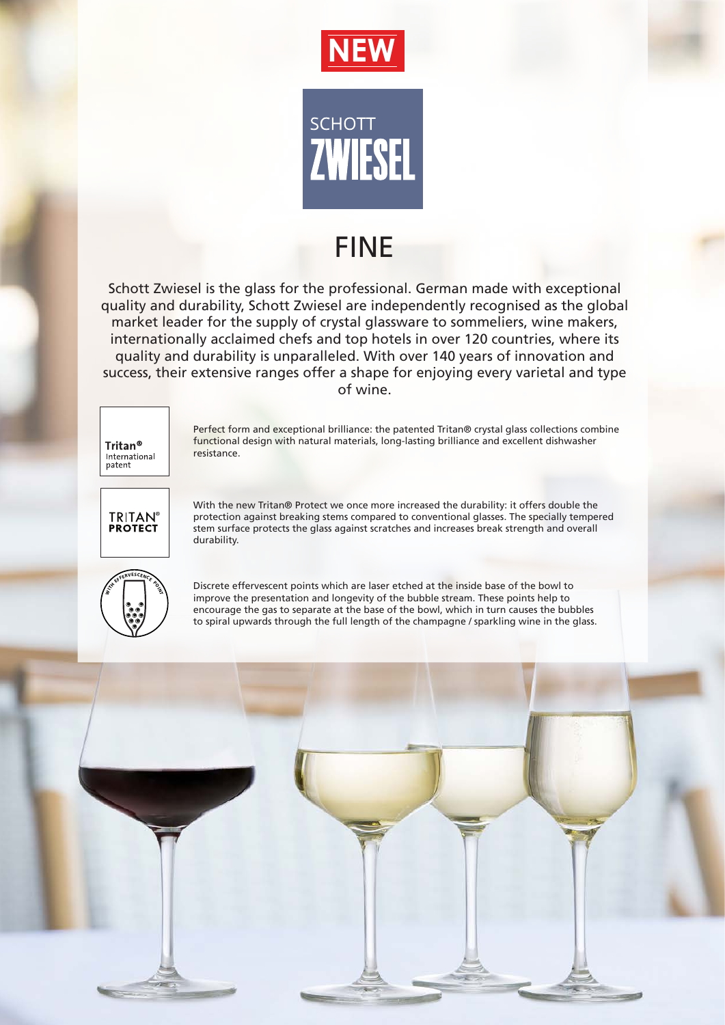



## FINE

Schott Zwiesel is the glass for the professional. German made with exceptional quality and durability, Schott Zwiesel are independently recognised as the global market leader for the supply of crystal glassware to sommeliers, wine makers, internationally acclaimed chefs and top hotels in over 120 countries, where its quality and durability is unparalleled. With over 140 years of innovation and success, their extensive ranges offer a shape for enjoying every varietal and type of wine.



Perfect form and exceptional brilliance: the patented Tritan® crystal glass collections combine functional design with natural materials, long-lasting brilliance and excellent dishwasher resistance.



With the new Tritan® Protect we once more increased the durability: it offers double the protection against breaking stems compared to conventional glasses. The specially tempered stem surface protects the glass against scratches and increases break strength and overall durability.



Discrete effervescent points which are laser etched at the inside base of the bowl to improve the presentation and longevity of the bubble stream. These points help to encourage the gas to separate at the base of the bowl, which in turn causes the bubbles to spiral upwards through the full length of the champagne / sparkling wine in the glass.